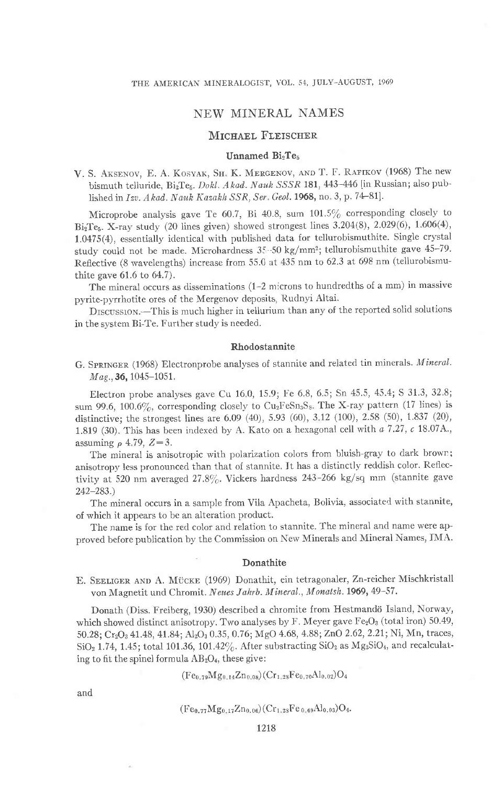# NEW MINERAL NAMES

## MICHAEL FLEISCHER

## Unnamed BizTes

V. S. AKSENOV, E. A. KOSYAK, SH. K. MERGENOV, AND T. F. RAFIKOV (1968) The new bismuth telluride, Bi<sub>2</sub>Te<sub>5</sub>. Dokl. Akad. Nauk SSSR 181, 443-446 [in Russian; also published in Izv. Akad. Nauk Kazakh SSR, Ser. Geol. 1968, no. 3, p. 74-81].

Microprobe analysis gave Te 60.7, Bi 40.8, sum  $101.5\%$  corresponding closely to  $Bi_2Te_5$ . X-ray study (20 lines given) showed strongest lines 3.204(8), 2.029(6), 1.606(4), 1.0475(4), essentially identical with published data for tellurobismuthite. Single crystal study could not be made. Microhardness 35-50 kg/mm<sup>2</sup>; tellurobismuthite gave 45-79. Reflective (8 wavelengths) increase from 55.0 at 435 nm to 62.3 at 698 nm (tellurobismuthite gave 61.6 to 64.7).

The mineral occurs as disseminations  $(1-2$  microns to hundredths of a mm) in massive pyrite-pyrrhotite ores of the Mergenov deposits, Rudnyi Altai.

DISCUSSION.-This is much higher in tellurium than any of the reported solid solutions in the system Bi-Te. Further study is needed.

### Rhodostannite

G. SPRINGER (1968) Electronprobe analyses of stannite and related tin minerals. Mineral. Mag., 36, 1045-1051.

Electron probe analyses gave Cu 160, 15.9; Ire 6.8, 6.5; Sn 45.5, 45.4; S 31.3, 32 8; sum 99.6, 100.6%, corresponding closely to  $Cu<sub>2</sub>FeSn<sub>3</sub>S<sub>8</sub>$ , The X-ray pattern (17 lines) is distinctive; the strongest lines are 6.09 (40), 5.93 (60), 3.12 (100), 2.58 (50), 1.837 (20), 1.819 (30). This has been indexed by A. Kato on a hexagonal cell with  $a$  7.27,  $c$  18.07A., assuming  $\rho$  4.79,  $Z=3$ .

The mineral is anisotropic with polarization colors from bluish-gray to dark brown; anisotropy less pronounced than that of stannite. It has a distinctly reddish color. Reflectivity at 520 nm averaged 27.8%. Vickers hardness 243-266 kg/sq mm (stannite gave  $242 - 283.$ 

The mineral occurs in a sample from vila Apacheta, Bolivia, associated with stannite, of which it appears to be an alteration product.

The name is for the red color and relation to stannite. The mineral and name were approved before publication by the commission on Nerv Minerals and Mineral Names, IMA.

#### Donathite

E. SEELIGER AND A. MÜCKE (1969) Donathit, ein tetragonaler, Zn-reicher Mischkristall von Magnetit und Chromit. Neues Jahrb. Mineral., Monatsh. 1969, 49-57.

Donath (Diss. Freiberg, 1930) described a chromite from Hestmandö Island, Norway, which showed distinct anisotropy. Two analyses by F. Meyer gave  $Fe<sub>2</sub>O<sub>3</sub>$  (total iron) 50.49, 50.28; Cr<sub>2</sub>O<sub>3</sub> 41.48, 41.84; Al<sub>2</sub>O<sub>3</sub> 0.35, 0.76; MgO 4.68, 4.88; ZnO 2.62, 2.21; Ni, Mn, traces,  $SiO<sub>2</sub>$  1.74, 1.45; total 101.36, 101.42%. After substracting  $SiO<sub>2</sub>$  as  $Mg<sub>2</sub>SiO<sub>4</sub>$ , and recalculating to fit the spinel formula  $AB_2O_4$ , these give:

 $(Fe_{0.79}Mg_{0.14}Zn_{0.08}) (Cr_{1.28}Fe_{0.70}Al_{0.02})O_4$ 

and

$$
(Fe_{0.77}Mg_{0.17}Zn_{0.06})(Cr_{1.28}Fe_{0.69}Al_{0.03})O_4.
$$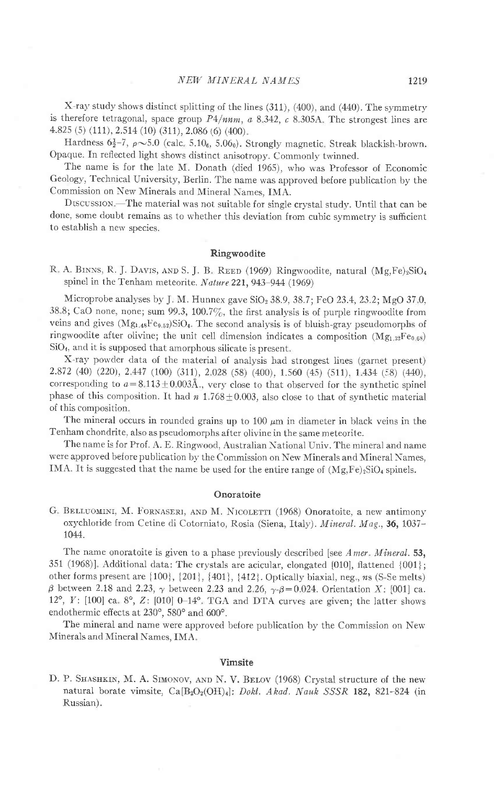$X$ -ray study shows distinct splitting of the lines (311), (400), and (440). The symmetry is therefore tetragonal, space group  $P4/nnm$ , a 8.342, c 8.305A. The strongest lines are 4.82s (s) (111),2.s14 (10) (311),2.086 (6) (400)

Hardness  $6\frac{1}{2}$ -7,  $\rho \sim 5.0$  (calc.  $5.10$ <sub>6</sub>,  $5.06$ <sub>0</sub>). Strongly magnetic. Streak blackish-brown. Opaque. In reflected light shows distinct anisotropy. Commonly twinned.

The name is for the late M. Donath (died 1965), who was Professor of Economic Geology, Technical University, Berlin. The name was approved before publication by the Commission on New Minerals and Mineral Names, IMA.

DISCUSSION. The material was not suitable for single crystal study. Until that can be done, some doubt remains as to whether this deviation from cubic symmetry is sufficient to establish a new species.

### Ringwoodite

R, A. BINNS, R. J. DAVIS, AND S. J. B. REED (1969) Ringwoodite, natural  $(Mg,Fe)_2SiO<sub>4</sub>$ spinel in the Tenham meteorite. Nature 221, 943-944 (1969)

Microprobe analyses by J. M. Hunnex gave  $SiO<sub>2</sub>$  38.9, 38.7; FeO 23.4, 23.2; MgO 37.0, 38.8; CaO none, none; sum 99.3, 100.7%, the first analysis is of purple ringwoodite from veins and gives  $(Mg<sub>1.48</sub>Fe<sub>0.52</sub>)SiO<sub>4</sub>$ . The second analysis is of bluish-gray pseudomorphs of ringwoodite after olivine; the unit cell dimension indicates a composition  $(Mg_{1,32}Fe_{0.68})$  $SiO<sub>4</sub>$ , and it is supposed that amorphous silicate is present.

X-ray powder data of the material of analysis had strongest lines (garnet present) 2.872 (40) (220), 2.447 (100) (311), 2.028 (58) (400), 1.560 (45) (511), 1.434 (58) (440), corresponding to  $a=8.113\pm0.003\text{\AA}$ , very close to that observed for the synthetic spinel phase of this composition. It had  $n\ 1.768\pm0.003$ , also close to that of synthetic material of this composition

The mineral occurs in rounded grains up to  $100 \mu m$  in diameter in black veins in the Tenham chondrite, also as pseudomorphs after olivine in the same meteorite.

The name is for Prof. A. E. Ringwood, Australian National Univ. The mineral and name were approved before publication by the Commission on New Minerals and Mineral Names, IMA. It is suggested that the name be used for the entire range of  $(Mg,Fe)_{2}SiO_{4}$  spinels.

#### Onoratoite

G. BELLUOMINI, M. FORNASERI, AND M. NICOLETTI (1968) Onoratoite, a new antimony oxychloride from Cetine di Cotorniato, Rosia (Siena, Italy). Mineral. Mag., 36, 1037-1044.

The name onoratoite is given to a phase previously described [see Amer. Mineral. 53, 351 (1968)l Additional data: The crystals are acicular, elongated [010], flattened {001}; other forms present are  $\{100\}$ ,  $\{201\}$ ,  $\{401\}$ ,  $\{412\}$ . Optically biaxial, neg., ns (S-Se melts)  $\beta$  between 2.18 and 2.23,  $\gamma$  between 2.23 and 2.26,  $\gamma$ - $\beta$ =0.024. Orientation X: [001] ca. 12°,  $Y: [100]$  ca. 8°,  $Z: [010]$  0-14°. TGA and DTA curves are given; the latter shows endothermic effects at 230°, 580° and 600°.

The mineral and name were approved beiore publication by the Commission on New Minerals and Mineral Names, IMA.

### Vimsite

D. P. SHASHKIN, M. A. SIMONOV, AND N. V. BELOV (1968) Crystal structure of the new natural borate vimsite,  $Ca[B_2O_2(OH)_4]$ : Dokl. Akad. Nauk SSSR 182, 821-824 (in Russian).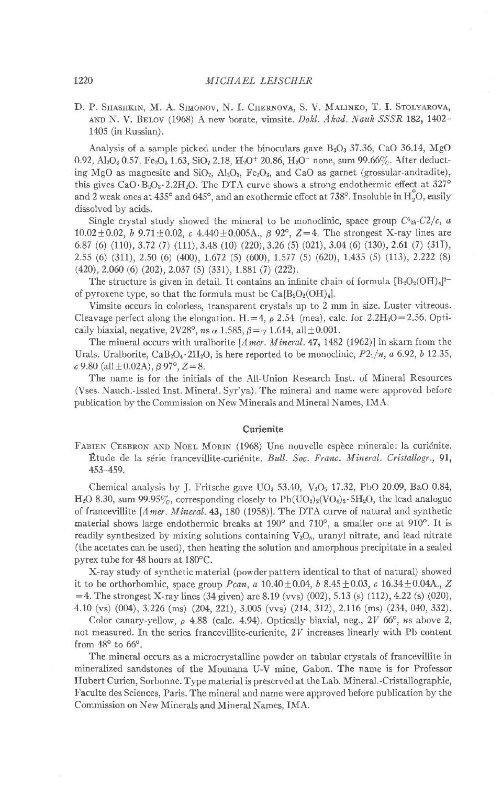D. P. SHASHKIN, M. A. SIMONOV, N. I. CHERNOVA, S. V. MALINKO, T. I. STOLYAROVA, AND N. V. BELOV (1968) A new borate, vimsite. Dokl. Akad. Nauk SSSR 182, 1402-1405 (in Russian).

Analysis of a sample picked under the binoculars gave  $B_2O_3$  37.36, CaO 36.14, MgO 0.92, Al<sub>2</sub>O<sub>3</sub> 0.57, Fe<sub>2</sub>O<sub>3</sub> 1.63, SiO<sub>2</sub> 2.18, H<sub>2</sub>O<sup>+</sup> 20.86, H<sub>2</sub>O<sup>-</sup> none, sum 99.66%. After deducting MgO as magnesite and SiO<sub>2</sub>, Al<sub>2</sub>O<sub>3</sub>, Fe<sub>2</sub>O<sub>3</sub>, and CaO as garnet (grossular-andradite), this gives  $CaO \cdot B_2O_3 \cdot 2.2H_2O$ . The DTA curve shows a strong endothermic effect at 327° and 2 weak ones at  $435^{\circ}$  and  $645^{\circ}$ , and an exothermic effect at  $738^{\circ}$ . Insoluble in  $H_2^{\circ}O$ , easily dissolved by acids.

Single crystal study showed the mineral to be monoclinic, space group  $C^{\delta_{2h}}-C^2/c$ , a  $10.02 \pm 0.02$ , b  $9.71 \pm 0.02$ , c  $4.440 \pm 0.005$ A.,  $\beta$  92°,  $Z = 4$ . The strongest X-ray lines are 6.87 (6) (110), 3.72 (7) (111), 3.48 (10) (220), 3.26 (5) (021), 3.04 (6) (130), 2.61 (7) (311), 2.55 (6) (311), 2.50 (6) (400), 1.672 (5) (600), 1.577 (5) (620), 1.435 (5) (113), 2.222 (8)  $(420), 2.060$  (6)  $(202), 2.037$  (5)  $(331), 1.881$  (7)  $(22\overline{2}).$ 

The structure is given in detail. It contains an infinite chain of formula  $[B_2O_2(OH)_4]^2$ of pyroxene type, so that the formula must be  $Ca[ B_2O_2(OH)_4]$ .

Vimsite occurs in colorless, transparent crystals up to 2 mm in size. Luster vitreous. Cleavage perfect along the elongation. H. = 4,  $\rho$  2.54 (mea), calc. for 2.2H<sub>2</sub>O = 2.56. Optically biaxial, negative, 2V28°, ns  $\alpha$  1.585,  $\beta = \gamma$  1.614, all  $\pm$  0.001.

The mineral occurs with uralborite [A mer. Mineral. 47, 1482 (1962)] in skarn from the Urals. Uralborite, CaB<sub>2</sub>O<sub>4</sub>.2H<sub>2</sub>O, is here reported to be monoclinic,  $P2_1/n$ , a 6.92, b 12.35,  $c$  9.80 (all  $\pm$  0.02A),  $\beta$  97°,  $Z = 8$ .

The name is for the initials of the All-Union Research Inst. of Mineral Resources (Vses. Nauch.-Issled Inst. Mineral. Syr'ya). The mineral and name were approved before publication by the Commission on New Minerals and Mineral Names, IMA.

### Curienite

FABIEN CESBRON AND NOEL MORIN (1968) Une nouvelle espèce minerale: la curiénite. Etude de la série francevillite-curiénite. Bull. Soc. Franc. Mineral. Cristallogr., 91, 453-459.

Chemical analysis by J. Fritsche gave UO<sub>3</sub> 53.40, V<sub>2</sub>O<sub>5</sub> 17.32, PbO 20.09, BaO 0.84,  $H_2O$  8.30, sum 99.95%, corresponding closely to  $Pb(UO_2)_2(VO_4)_2 \cdot 5H_2O$ , the lead analogue of francevillite [A mer. Mineral. 43, 180 (1958)]. The DTA curve of natural and synthetic material shows large endothermic breaks at 190° and 710°, a smaller one at 910°. It is readily synthesized by mixing solutions containing  $V_2O_5$ , uranyl nitrate, and lead nitrate (the acetates can be used), then heating the solution and amorphous precipitate in a sealed pyrex tube for 48 hours at 180°C.

X-ray study of synthetic material (powder pattern identical to that of natural) showed it to be orthorhombic, space group *Pcan*, a 10.40 $\pm$ 0.04, b 8.45 $\pm$ 0.03, c 16.34 $\pm$ 0.04A., Z  $=$  4. The strongest X-ray lines (34 given) are 8.19 (vvs) (002), 5.13 (s) (112), 4.22 (s) (020), 4.10 (vs) (004), 3.226 (ms) (204, 221), 3.005 (vvs) (214, 312), 2.116 (ms) (234, 040, 332).

Color canary-yellow,  $\rho$  4.88 (calc. 4.94). Optically biaxial, neg., 2V 66°, ns above 2, not measured. In the series francevillite-curienite,  $2V$  increases linearly with Pb content from  $48^\circ$  to  $66^\circ$ .

The mineral occurs as a microcrystalline powder on tabular crystals of francevillite in mineralized sandstones of the Mounana U-V mine, Gabon. The name is for Professor Hubert Curien, Sorbonne. Type material is preserved at the Lab. Mineral.-Cristallographie, Faculte des Sciences, Paris. The mineral and name were approved before publication by the Commission on New Minerals and Mineral Names, IMA.

1220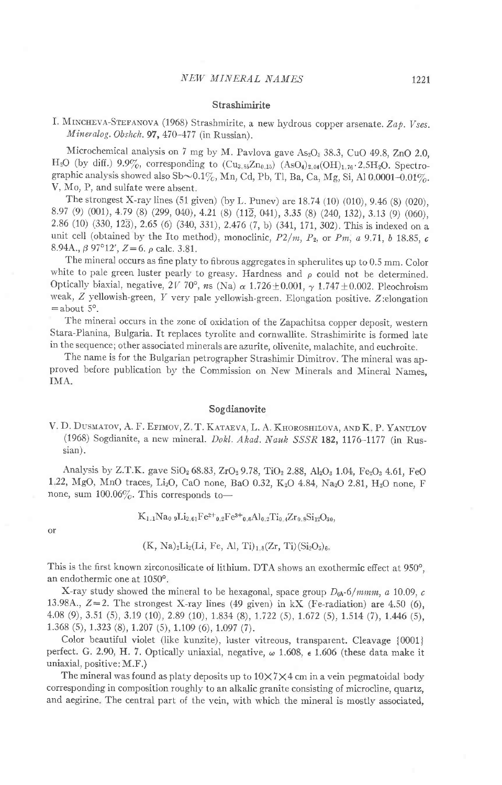#### Strashimirite

# I. MINCHEVA-STEFANOVA (1968) Strashmirite, a new hydrous copper arsenate. Zap. Vses.  $Mineralog. Obshch.$  97, 470-477 (in Russian).

Microchemical analysis on 7 mg by M. Pavlova gave  $As_2O_5$  38.3, CuO 49.8, ZnO 2.0, H<sub>2</sub>O (by diff.) 9.9%, corresponding to  $(Cu_{3.85}Zn_{0.15})$   $(AsO_4)_{2.04}(OH)_{1.76} \cdot 2.5H_2O$ . Spectrographic analysis showed also Sb $\sim$ 0.1%, Mn, Cd, Pb, Tl, Ba, Ca, Mg, Si, Al 0 0001-0.01%. V, Mo, P, and sulfate were absent.

The strongest X-ray lines (51 given) (by L. Punev) are 18.71(10) (010), 9.46 (S) (020), 8.97 (9) (001), 4.79 (8) (299, 040), 4.21 (8) (112, 041), 3.35 (8) (240, 132), 3.13 (9) (060), 2.86 (10) (330, 123), 2.65 (6) (340, 331), 2.476 (7, b) (341, 171,302). This is indexed on a unit cell (obtained by the Ito method), monoclinic,  $P2/m$ ,  $P_2$ , or  $Pm$ , a 9.71, b 18.85, c 8.94A.,  $\beta$  97°12',  $Z=6$ .  $\rho$  calc. 3.81.

The mineral occurs as fine platy to fibrous aggregates in spherulites up to 0.5 mm. color white to pale green luster pearly to greasy. Hardness and  $\rho$  could not be determined. Optically biaxial, negative, 2V 70°, ns (Na)  $\alpha$  1.726 ± 0.001,  $\gamma$  1.747 ± 0.002. Pleochroism weak, Z yellowish-green, Y very pale yellowish-green. Elongation positive. Z:elongation  $=$  about  $5^\circ$ .

The mineral occurs in the zone of oxidation of the Zapachitsa copper deposit, western Stara-Planina, Bulgaria. It replaces tyrolite and cornwallite. Strashimirite is formed late in the sequence; other associated minerals are azurite, olivenite, malachite, and euchroite.

The name is for the Bulgarian petrographer Strashimir Dimitrov. The mineral was approved before publication by the commission on New Minerals and Mineral Names. IMA.

## Sogdianovite

V. D. Dusmatov, A. F. Etimov, Z. T. Kataeva, L. A. Khoroshilova, and K. P. Yanulov (1968) Sogdianite, a new mineral. Dokl. Akad. Nauk SSSR 182, 1176-1177 (in Russian) .

Analysis by Z.T.K. gave  $SiO<sub>2</sub> 68.83, ZrO<sub>2</sub> 9.78, TiO<sub>2</sub> 2.88, Al<sub>2</sub>O<sub>3</sub> 1.04, Fe<sub>2</sub>O<sub>3</sub> 4.61, FeO$ 1.22, MgO, MnO traces, Li<sub>2</sub>O, CaO none, BaO 0.32, K<sub>2</sub>O 4.84, Na<sub>2</sub>O 2.81, H<sub>2</sub>O none, F none, sum  $100.06\%$ . This corresponds to-

or

$$
K_{1.1}Na_0\, {}_9Li_{2.61}Fe^{2+}o_{.2}Fe^{3+}o_{.6}Al_{0.2}Ti_{0.4}Zr_{0.8}Si_{12}O_{30},
$$

$$
(K, Na)_2Li_2(Li, Fe, Al, Ti)_{1.8}(Zr, Ti)(Si_2O_5)_6.
$$

This is the first known zirconosilicate of lithium. DTA shows an exothermic effect at 950°, an endothermic one at 1050".

X-ray study showed the mineral to be hexagonal, space group  $D_{6h}$ -6/mmm, a 10.09, c 13.98A.,  $Z=2$ . The strongest X-ray lines (49 given) in kX (Fe-radiation) are 4.50 (6), 4.08 (9), 3.s1 (s), 3.19 (10), 2.89 (10), 1 834 (8), 1.722 (s), 1.672 (s), 1.sr4 (7),1.446 (s), 1.368 (5), 1.323 (8), 1.207 (5), 1.109 (6), 1.097 (7).

Color beautiful violet (like kunzite), luster vitreous, transparent. Cleavage {0001} perfect. G. 2.90, H. 7. Optically uniaxial, negative,  $\omega$  1.608,  $\epsilon$  1.606 (these data make it uniaxial, positive: M.F.)

The mineral was found as platy deposits up to  $10\times7\times4$  cm in a vein pegmatoidal body corresponding in composition roughly to an alkalic granite consisting of microcline, quartz, and aegirine. The central part of the vein, with which the mineral is mostly associated,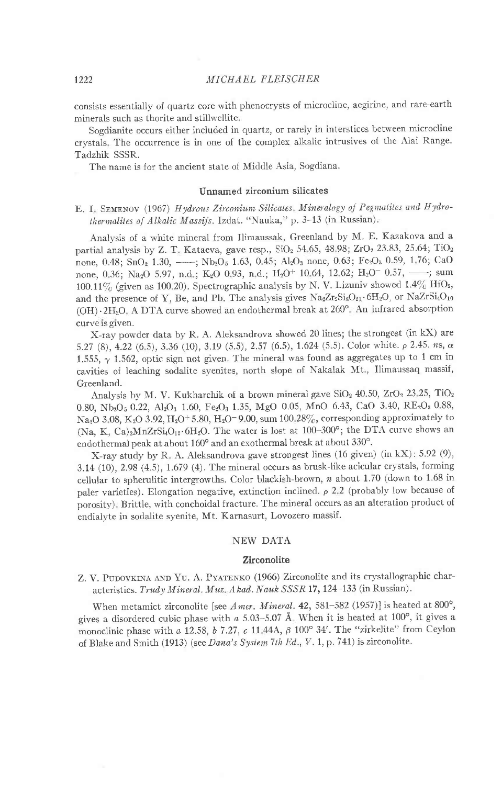consists essentially of quartz core with phenocrysts of microcline, aegirine, and rare-earth minerals such as thorite and stillwellite.

Sogdianite occurs either included in quartz, or rarely in interstices between microcline crystals. The occurrence is in one of the complex alkalic intrusives of the Alai Range. Tadzhik SSSR.

The name is for the ancient state of Middle Asia, Sogdiana.

#### Unnamed zirconium silicates

E. I. SEMENOV (1967) Hydrous Zirconium Silicates. Mineralogy of Pegmatites and Hydrothermalites of Alkalic Massifs. Izdat. "Nauka," p. 3-13 (in Russian).

Analysis of a white mineral from Ilimaussak, Greenland by M. E. Kazakova and a partial analysis by Z. T. Kataeva, gave resp., SiO<sub>2</sub> 54.65, 48.98; ZrO<sub>2</sub> 23.83, 25.64; TiO<sub>2</sub> none, 0.48; SnO<sub>2</sub> 1.30, ----; Nb<sub>2</sub>O<sub>5</sub> 1.63, 0.45; Al<sub>2</sub>O<sub>3</sub> none, 0.63; Fe<sub>2</sub>O<sub>3</sub> 0.59, 1.76; CaO none, 0,36; Na<sub>2</sub>O 5.97, n.d.; K<sub>2</sub>O 0.93, n.d.; H<sub>2</sub>O<sup>+</sup> 10.64, 12.62; H<sub>2</sub>O<sup>-</sup> 0.57, ---; sum 100.11% (given as 100.20). Spectrographic analysis by N. V. Lizuniv showed  $1.4\%$  HfO<sub>2</sub>, and the presence of Y, Be, and Pb. The analysis gives  $Na_2Zr_2Si_8O_{21}\cdot 6H_2O$ , or  $NaZrSi_4O_{10}$ (OH) · 2H<sub>2</sub>O. A DTA curve showed an endothermal break at 260°. An infrared absorption curve is given.

X-ray powder data by R. A. Aleksandrova showed 20 lines; the strongest (in kX) are 5.27 (8), 4.22 (6.5), 3.36 (10), 3.19 (5.5), 2.57 (6.5), 1.624 (5.5). Color white.  $\rho$  2.45. ns,  $\alpha$ 1.555,  $\gamma$  1.562, optic sign not given. The mineral was found as aggregates up to 1 cm in cavities of leaching sodalite syenites, north slope of Nakalak Mt., Ilimaussaq massif, Greenland.

Analysis by M. V. Kukharchik of a brown mineral gave SiO<sub>2</sub> 40.50, ZrO<sub>2</sub> 23.25, TiO<sub>2</sub> 0.80, Nb<sub>2</sub>O<sub>5</sub> 0.22, Al<sub>2</sub>O<sub>3</sub> 1.60, Fe<sub>2</sub>O<sub>3</sub> 1.35, MgO 0.05, MnO 6.43, CaO 3.40, RE<sub>2</sub>O<sub>3</sub> 0.88, Na<sub>2</sub>O 3.08, K<sub>2</sub>O 3.92, H<sub>2</sub>O<sup>+</sup> 5.80, H<sub>2</sub>O<sup>-</sup> 9.00, sum 100.28%, corresponding approximately to (Na, K, Ca)<sub>2</sub>MnZrSi<sub>4</sub>O<sub>12</sub>.6H<sub>2</sub>O. The water is lost at 100-300°; the DTA curve shows an endothermal peak at about 160° and an exothermal break at about 330°.

X-ray study by R. A. Aleksandrova gave strongest lines (16 given) (in kX): 5.92 (9), 3.14 (10), 2.98 (4.5), 1.679 (4). The mineral occurs as brusk-like acicular crystals, forming cellular to spherulitic intergrowths. Color blackish-brown,  $n$  about 1.70 (down to 1.68 in paler varieties). Elongation negative, extinction inclined.  $\rho$  2.2 (probably low because of porosity). Brittle, with conchoidal fracture. The mineral occurs as an alteration product of endialyte in sodalite syenite, Mt. Karnasurt, Lovozero massif.

# **NEW DATA**

#### Zirconolite

Z. V. PUDOVKINA AND YU. A. PYATENKO (1966) Zirconolite and its crystallographic characteristics. Trudy Mineral. Muz. Akad. Nauk SSSR 17, 124-133 (in Russian).

When metamict zirconolite [see Amer. Mineral. 42, 581-582 (1957)] is heated at 800°, gives a disordered cubic phase with  $a$  5.03-5.07 Å. When it is heated at 100°, it gives a monoclinic phase with a 12.58, b 7.27, c 11.44A,  $\beta$  100° 34'. The "zirkelite" from Ceylon of Blake and Smith (1913) (see Dana's Sysiem 7th Ed., V. 1, p. 741) is zirconolite.

1222